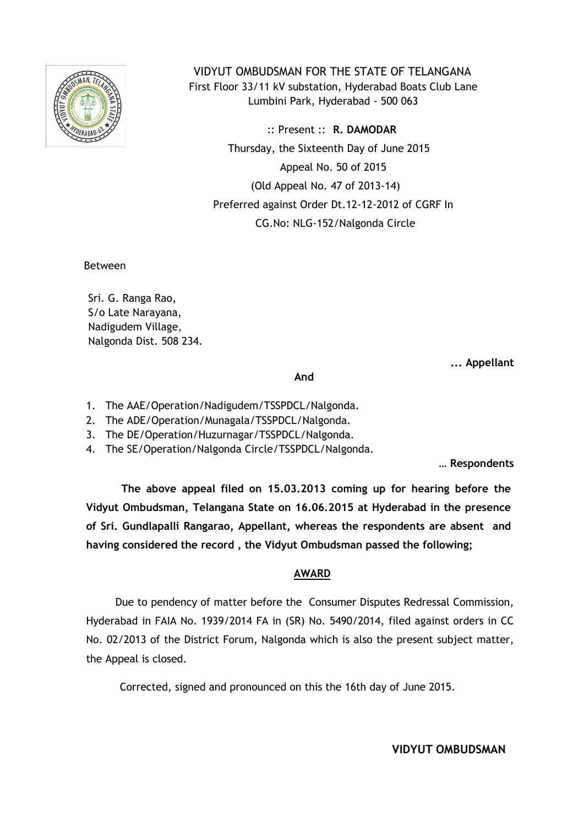

 VIDYUT OMBUDSMAN FOR THE STATE OF TELANGANA First Floor 33/11 kV substation, Hyderabad Boats Club Lane Lumbini Park, Hyderabad - 500 063

 :: Present :: **R. DAMODAR** Thursday, the Sixteenth Day of June 2015 Appeal No. 50 of 2015 (Old Appeal No. 47 of 2013-14) Preferred against Order Dt.12-12-2012 of CGRF In CG.No: NLG-152/Nalgonda Circle

Between

Sri. G. Ranga Rao, S/o Late Narayana, Nadigudem Village, Nalgonda Dist. 508 234.

**... Appellant**

## **And**

- 1. The AAE/Operation/Nadigudem/TSSPDCL/Nalgonda.
- 2. The ADE/Operation/Munagala/TSSPDCL/Nalgonda.
- 1. 3. The DE/Operation/Huzurnagar/TSSPDCL/Nalgonda.
- 4. The SE/Operation/Nalgonda Circle/TSSPDCL/Nalgonda.

**… Respondents**

**The above appeal filed on 15.03.2013 coming up for hearing before the Vidyut Ombudsman, Telangana State on 16.06.2015 at Hyderabad in the presence of Sri. Gundlapalli Rangarao, Appellant, whereas the respondents are absent and having considered the record , the Vidyut Ombudsman passed the following;**

## **AWARD**

Due to pendency of matter before the Consumer Disputes Redressal Commission, Hyderabad in FAIA No. 1939/2014 FA in (SR) No. 5490/2014, filed against orders in CC No. 02/2013 of the District Forum, Nalgonda which is also the present subject matter, the Appeal is closed.

Corrected, signed and pronounced on this the 16th day of June 2015.

**VIDYUT OMBUDSMAN**